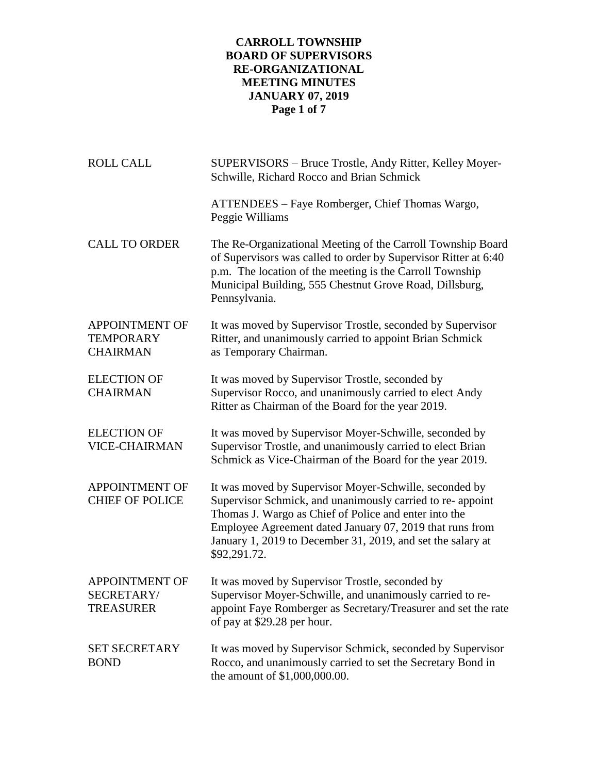# **CARROLL TOWNSHIP BOARD OF SUPERVISORS RE-ORGANIZATIONAL MEETING MINUTES JANUARY 07, 2019 Page 1 of 7**

| <b>ROLL CALL</b>                                             | SUPERVISORS - Bruce Trostle, Andy Ritter, Kelley Moyer-<br>Schwille, Richard Rocco and Brian Schmick                                                                                                                                                                                                                     |
|--------------------------------------------------------------|--------------------------------------------------------------------------------------------------------------------------------------------------------------------------------------------------------------------------------------------------------------------------------------------------------------------------|
|                                                              | ATTENDEES – Faye Romberger, Chief Thomas Wargo,<br>Peggie Williams                                                                                                                                                                                                                                                       |
| <b>CALL TO ORDER</b>                                         | The Re-Organizational Meeting of the Carroll Township Board<br>of Supervisors was called to order by Supervisor Ritter at 6:40<br>p.m. The location of the meeting is the Carroll Township<br>Municipal Building, 555 Chestnut Grove Road, Dillsburg,<br>Pennsylvania.                                                   |
| <b>APPOINTMENT OF</b><br><b>TEMPORARY</b><br><b>CHAIRMAN</b> | It was moved by Supervisor Trostle, seconded by Supervisor<br>Ritter, and unanimously carried to appoint Brian Schmick<br>as Temporary Chairman.                                                                                                                                                                         |
| <b>ELECTION OF</b><br><b>CHAIRMAN</b>                        | It was moved by Supervisor Trostle, seconded by<br>Supervisor Rocco, and unanimously carried to elect Andy<br>Ritter as Chairman of the Board for the year 2019.                                                                                                                                                         |
| <b>ELECTION OF</b><br><b>VICE-CHAIRMAN</b>                   | It was moved by Supervisor Moyer-Schwille, seconded by<br>Supervisor Trostle, and unanimously carried to elect Brian<br>Schmick as Vice-Chairman of the Board for the year 2019.                                                                                                                                         |
| <b>APPOINTMENT OF</b><br><b>CHIEF OF POLICE</b>              | It was moved by Supervisor Moyer-Schwille, seconded by<br>Supervisor Schmick, and unanimously carried to re- appoint<br>Thomas J. Wargo as Chief of Police and enter into the<br>Employee Agreement dated January 07, 2019 that runs from<br>January 1, 2019 to December 31, 2019, and set the salary at<br>\$92,291.72. |
| <b>APPOINTMENT OF</b><br>SECRETARY/<br><b>TREASURER</b>      | It was moved by Supervisor Trostle, seconded by<br>Supervisor Moyer-Schwille, and unanimously carried to re-<br>appoint Faye Romberger as Secretary/Treasurer and set the rate<br>of pay at \$29.28 per hour.                                                                                                            |
| <b>SET SECRETARY</b><br><b>BOND</b>                          | It was moved by Supervisor Schmick, seconded by Supervisor<br>Rocco, and unanimously carried to set the Secretary Bond in<br>the amount of \$1,000,000.00.                                                                                                                                                               |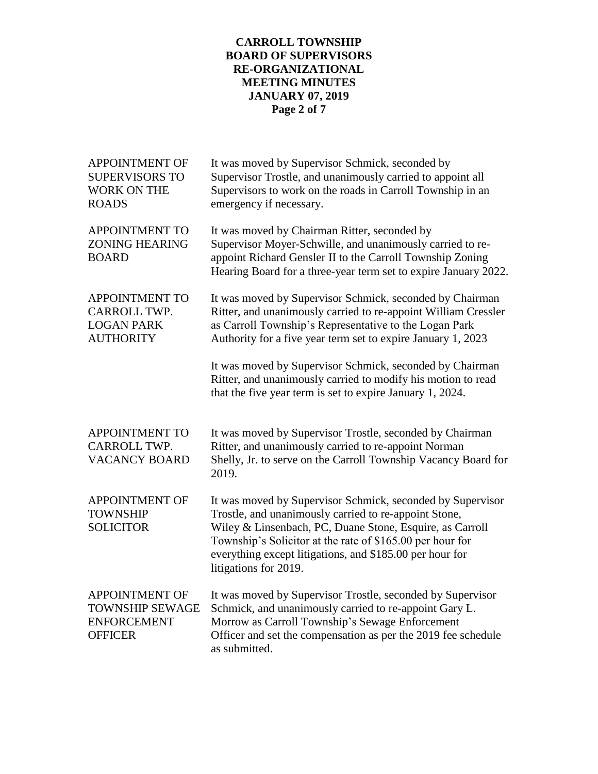# **CARROLL TOWNSHIP BOARD OF SUPERVISORS RE-ORGANIZATIONAL MEETING MINUTES JANUARY 07, 2019 Page 2 of 7**

| <b>APPOINTMENT OF</b><br><b>SUPERVISORS TO</b><br><b>WORK ON THE</b><br><b>ROADS</b>    | It was moved by Supervisor Schmick, seconded by<br>Supervisor Trostle, and unanimously carried to appoint all<br>Supervisors to work on the roads in Carroll Township in an<br>emergency if necessary.                                                                                                                            |
|-----------------------------------------------------------------------------------------|-----------------------------------------------------------------------------------------------------------------------------------------------------------------------------------------------------------------------------------------------------------------------------------------------------------------------------------|
| <b>APPOINTMENT TO</b><br><b>ZONING HEARING</b><br><b>BOARD</b>                          | It was moved by Chairman Ritter, seconded by<br>Supervisor Moyer-Schwille, and unanimously carried to re-<br>appoint Richard Gensler II to the Carroll Township Zoning<br>Hearing Board for a three-year term set to expire January 2022.                                                                                         |
| <b>APPOINTMENT TO</b><br>CARROLL TWP.<br><b>LOGAN PARK</b><br><b>AUTHORITY</b>          | It was moved by Supervisor Schmick, seconded by Chairman<br>Ritter, and unanimously carried to re-appoint William Cressler<br>as Carroll Township's Representative to the Logan Park<br>Authority for a five year term set to expire January 1, 2023                                                                              |
|                                                                                         | It was moved by Supervisor Schmick, seconded by Chairman<br>Ritter, and unanimously carried to modify his motion to read<br>that the five year term is set to expire January 1, 2024.                                                                                                                                             |
| <b>APPOINTMENT TO</b><br>CARROLL TWP.<br><b>VACANCY BOARD</b>                           | It was moved by Supervisor Trostle, seconded by Chairman<br>Ritter, and unanimously carried to re-appoint Norman<br>Shelly, Jr. to serve on the Carroll Township Vacancy Board for<br>2019.                                                                                                                                       |
| <b>APPOINTMENT OF</b><br><b>TOWNSHIP</b><br><b>SOLICITOR</b>                            | It was moved by Supervisor Schmick, seconded by Supervisor<br>Trostle, and unanimously carried to re-appoint Stone,<br>Wiley & Linsenbach, PC, Duane Stone, Esquire, as Carroll<br>Township's Solicitor at the rate of \$165.00 per hour for<br>everything except litigations, and \$185.00 per hour for<br>litigations for 2019. |
| <b>APPOINTMENT OF</b><br><b>TOWNSHIP SEWAGE</b><br><b>ENFORCEMENT</b><br><b>OFFICER</b> | It was moved by Supervisor Trostle, seconded by Supervisor<br>Schmick, and unanimously carried to re-appoint Gary L.<br>Morrow as Carroll Township's Sewage Enforcement<br>Officer and set the compensation as per the 2019 fee schedule<br>as submitted.                                                                         |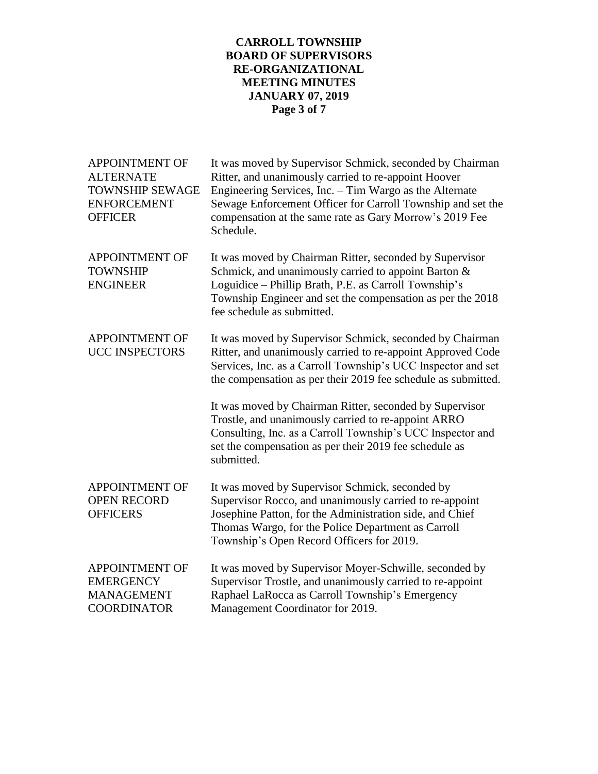# **CARROLL TOWNSHIP BOARD OF SUPERVISORS RE-ORGANIZATIONAL MEETING MINUTES JANUARY 07, 2019 Page 3 of 7**

| <b>APPOINTMENT OF</b><br><b>ALTERNATE</b><br><b>TOWNSHIP SEWAGE</b><br><b>ENFORCEMENT</b><br><b>OFFICER</b> | It was moved by Supervisor Schmick, seconded by Chairman<br>Ritter, and unanimously carried to re-appoint Hoover<br>Engineering Services, Inc. - Tim Wargo as the Alternate<br>Sewage Enforcement Officer for Carroll Township and set the<br>compensation at the same rate as Gary Morrow's 2019 Fee<br>Schedule. |
|-------------------------------------------------------------------------------------------------------------|--------------------------------------------------------------------------------------------------------------------------------------------------------------------------------------------------------------------------------------------------------------------------------------------------------------------|
| <b>APPOINTMENT OF</b><br><b>TOWNSHIP</b><br><b>ENGINEER</b>                                                 | It was moved by Chairman Ritter, seconded by Supervisor<br>Schmick, and unanimously carried to appoint Barton &<br>Loguidice – Phillip Brath, P.E. as Carroll Township's<br>Township Engineer and set the compensation as per the 2018<br>fee schedule as submitted.                                               |
| <b>APPOINTMENT OF</b><br><b>UCC INSPECTORS</b>                                                              | It was moved by Supervisor Schmick, seconded by Chairman<br>Ritter, and unanimously carried to re-appoint Approved Code<br>Services, Inc. as a Carroll Township's UCC Inspector and set<br>the compensation as per their 2019 fee schedule as submitted.                                                           |
|                                                                                                             | It was moved by Chairman Ritter, seconded by Supervisor<br>Trostle, and unanimously carried to re-appoint ARRO<br>Consulting, Inc. as a Carroll Township's UCC Inspector and<br>set the compensation as per their 2019 fee schedule as<br>submitted.                                                               |
| <b>APPOINTMENT OF</b><br><b>OPEN RECORD</b><br><b>OFFICERS</b>                                              | It was moved by Supervisor Schmick, seconded by<br>Supervisor Rocco, and unanimously carried to re-appoint<br>Josephine Patton, for the Administration side, and Chief<br>Thomas Wargo, for the Police Department as Carroll<br>Township's Open Record Officers for 2019.                                          |
| <b>APPOINTMENT OF</b><br><b>EMERGENCY</b><br><b>MANAGEMENT</b><br><b>COORDINATOR</b>                        | It was moved by Supervisor Moyer-Schwille, seconded by<br>Supervisor Trostle, and unanimously carried to re-appoint<br>Raphael LaRocca as Carroll Township's Emergency<br>Management Coordinator for 2019.                                                                                                         |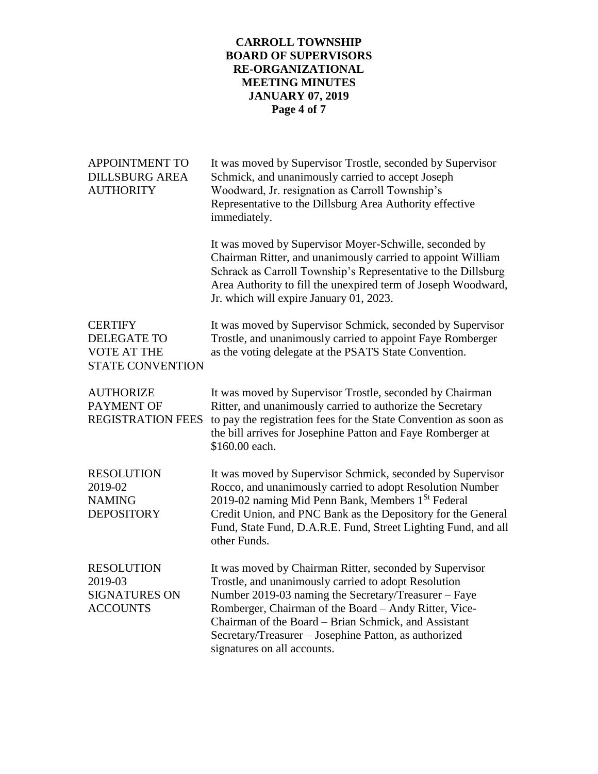# **CARROLL TOWNSHIP BOARD OF SUPERVISORS RE-ORGANIZATIONAL MEETING MINUTES JANUARY 07, 2019 Page 4 of 7**

| <b>APPOINTMENT TO</b><br><b>DILLSBURG AREA</b><br><b>AUTHORITY</b>                    | It was moved by Supervisor Trostle, seconded by Supervisor<br>Schmick, and unanimously carried to accept Joseph<br>Woodward, Jr. resignation as Carroll Township's<br>Representative to the Dillsburg Area Authority effective<br>immediately.                                                                                                                                   |
|---------------------------------------------------------------------------------------|----------------------------------------------------------------------------------------------------------------------------------------------------------------------------------------------------------------------------------------------------------------------------------------------------------------------------------------------------------------------------------|
|                                                                                       | It was moved by Supervisor Moyer-Schwille, seconded by<br>Chairman Ritter, and unanimously carried to appoint William<br>Schrack as Carroll Township's Representative to the Dillsburg<br>Area Authority to fill the unexpired term of Joseph Woodward,<br>Jr. which will expire January 01, 2023.                                                                               |
| <b>CERTIFY</b><br><b>DELEGATE TO</b><br><b>VOTE AT THE</b><br><b>STATE CONVENTION</b> | It was moved by Supervisor Schmick, seconded by Supervisor<br>Trostle, and unanimously carried to appoint Faye Romberger<br>as the voting delegate at the PSATS State Convention.                                                                                                                                                                                                |
| <b>AUTHORIZE</b><br>PAYMENT OF<br><b>REGISTRATION FEES</b>                            | It was moved by Supervisor Trostle, seconded by Chairman<br>Ritter, and unanimously carried to authorize the Secretary<br>to pay the registration fees for the State Convention as soon as<br>the bill arrives for Josephine Patton and Faye Romberger at<br>\$160.00 each.                                                                                                      |
| <b>RESOLUTION</b><br>2019-02<br><b>NAMING</b><br><b>DEPOSITORY</b>                    | It was moved by Supervisor Schmick, seconded by Supervisor<br>Rocco, and unanimously carried to adopt Resolution Number<br>2019-02 naming Mid Penn Bank, Members 1 <sup>St</sup> Federal<br>Credit Union, and PNC Bank as the Depository for the General<br>Fund, State Fund, D.A.R.E. Fund, Street Lighting Fund, and all<br>other Funds.                                       |
| <b>RESOLUTION</b><br>2019-03<br><b>SIGNATURES ON</b><br><b>ACCOUNTS</b>               | It was moved by Chairman Ritter, seconded by Supervisor<br>Trostle, and unanimously carried to adopt Resolution<br>Number 2019-03 naming the Secretary/Treasurer - Faye<br>Romberger, Chairman of the Board - Andy Ritter, Vice-<br>Chairman of the Board – Brian Schmick, and Assistant<br>Secretary/Treasurer - Josephine Patton, as authorized<br>signatures on all accounts. |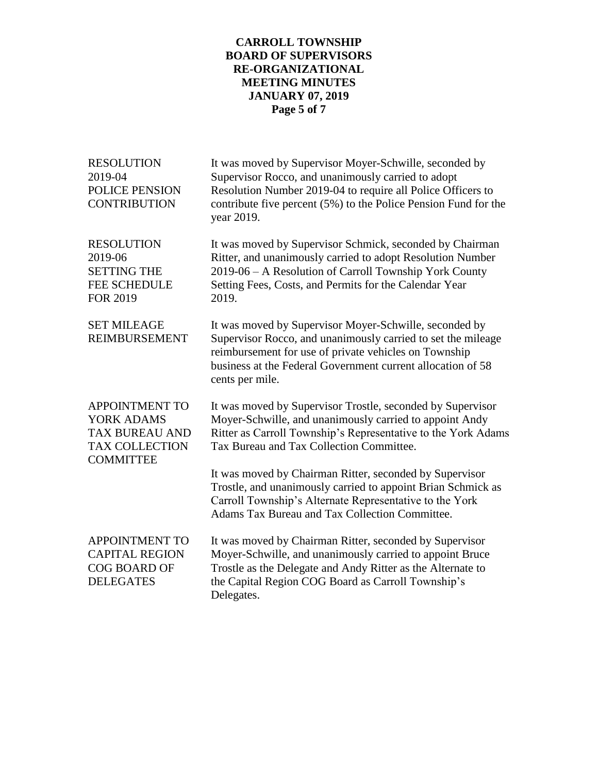# **CARROLL TOWNSHIP BOARD OF SUPERVISORS RE-ORGANIZATIONAL MEETING MINUTES JANUARY 07, 2019 Page 5 of 7**

| <b>RESOLUTION</b><br>2019-04<br>POLICE PENSION<br><b>CONTRIBUTION</b>                                     | It was moved by Supervisor Moyer-Schwille, seconded by<br>Supervisor Rocco, and unanimously carried to adopt<br>Resolution Number 2019-04 to require all Police Officers to<br>contribute five percent (5%) to the Police Pension Fund for the<br>year 2019.      |
|-----------------------------------------------------------------------------------------------------------|-------------------------------------------------------------------------------------------------------------------------------------------------------------------------------------------------------------------------------------------------------------------|
| <b>RESOLUTION</b><br>2019-06<br><b>SETTING THE</b><br><b>FEE SCHEDULE</b><br><b>FOR 2019</b>              | It was moved by Supervisor Schmick, seconded by Chairman<br>Ritter, and unanimously carried to adopt Resolution Number<br>2019-06 - A Resolution of Carroll Township York County<br>Setting Fees, Costs, and Permits for the Calendar Year<br>2019.               |
| <b>SET MILEAGE</b><br><b>REIMBURSEMENT</b>                                                                | It was moved by Supervisor Moyer-Schwille, seconded by<br>Supervisor Rocco, and unanimously carried to set the mileage<br>reimbursement for use of private vehicles on Township<br>business at the Federal Government current allocation of 58<br>cents per mile. |
| <b>APPOINTMENT TO</b><br>YORK ADAMS<br><b>TAX BUREAU AND</b><br><b>TAX COLLECTION</b><br><b>COMMITTEE</b> | It was moved by Supervisor Trostle, seconded by Supervisor<br>Moyer-Schwille, and unanimously carried to appoint Andy<br>Ritter as Carroll Township's Representative to the York Adams<br>Tax Bureau and Tax Collection Committee.                                |
|                                                                                                           | It was moved by Chairman Ritter, seconded by Supervisor<br>Trostle, and unanimously carried to appoint Brian Schmick as<br>Carroll Township's Alternate Representative to the York<br><b>Adams Tax Bureau and Tax Collection Committee.</b>                       |
| APPOINTMENT TO<br><b>CAPITAL REGION</b><br><b>COG BOARD OF</b><br><b>DELEGATES</b>                        | It was moved by Chairman Ritter, seconded by Supervisor<br>Moyer-Schwille, and unanimously carried to appoint Bruce<br>Trostle as the Delegate and Andy Ritter as the Alternate to<br>the Capital Region COG Board as Carroll Township's<br>Delegates.            |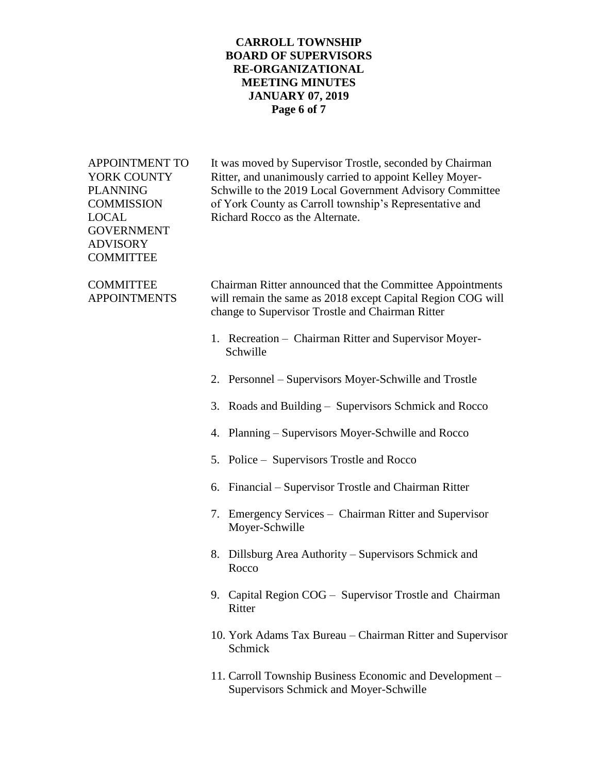### **CARROLL TOWNSHIP BOARD OF SUPERVISORS RE-ORGANIZATIONAL MEETING MINUTES JANUARY 07, 2019 Page 6 of 7**

GOVERNMENT ADVISORY **COMMITTEE** 

APPOINTMENT TO It was moved by Supervisor Trostle, seconded by Chairman YORK COUNTY Ritter, and unanimously carried to appoint Kelley Moyer-PLANNING Schwille to the 2019 Local Government Advisory Committee COMMISSION of York County as Carroll township's Representative and LOCAL Richard Rocco as the Alternate.

COMMITTEE Chairman Ritter announced that the Committee Appointments APPOINTMENTS will remain the same as 2018 except Capital Region COG will change to Supervisor Trostle and Chairman Ritter

- 1. Recreation Chairman Ritter and Supervisor Moyer- Schwille
- 2. Personnel Supervisors Moyer-Schwille and Trostle
- 3. Roads and Building Supervisors Schmick and Rocco
- 4. Planning Supervisors Moyer-Schwille and Rocco
- 5. Police Supervisors Trostle and Rocco
- 6. Financial Supervisor Trostle and Chairman Ritter
- 7. Emergency Services Chairman Ritter and Supervisor Moyer-Schwille
- 8. Dillsburg Area Authority Supervisors Schmick and Rocco
- 9. Capital Region COG Supervisor Trostle and Chairman Ritter
- 10. York Adams Tax Bureau Chairman Ritter and Supervisor Schmick
- 11. Carroll Township Business Economic and Development Supervisors Schmick and Moyer-Schwille